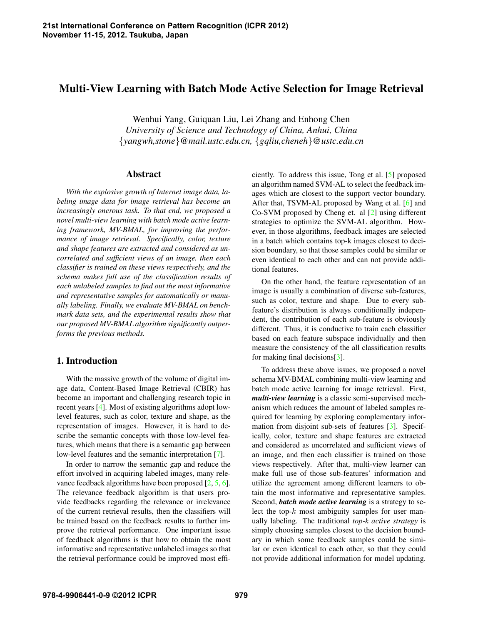# **Multi-View Learning with Batch Mode Active Selection for Image Retrieval**

Wenhui Yang, Guiquan Liu, Lei Zhang and Enhong Chen *University of Science and Technology of China, Anhui, China* {*yangwh,stone*}*@mail.ustc.edu.cn,* {*gqliu,cheneh*}*@ustc.edu.cn*

### **Abstract**

*With the explosive growth of Internet image data, labeling image data for image retrieval has become an increasingly onerous task. To that end, we proposed a novel multi-view learning with batch mode active learning framework, MV-BMAL, for improving the performance of image retrieval. Specifically, color, texture and shape features are extracted and considered as uncorrelated and sufficient views of an image, then each classifier is trained on these views respectively, and the schema makes full use of the classification results of each unlabeled samples to find out the most informative and representative samples for automatically or manually labeling. Finally, we evaluate MV-BMAL on benchmark data sets, and the experimental results show that our proposed MV-BMAL algorithm significantly outperforms the previous methods.*

## **1. Introduction**

With the massive growth of the volume of digital image data, Content-Based Image Retrieval (CBIR) has become an important and challenging research topic in recent years [4]. Most of existing algorithms adopt lowlevel features, such as color, texture and shape, as the representation of images. However, it is hard to describe the semantic concepts with those low-level features, which means that there is a semantic gap between low-level features and the semantic interpretation [7].

In order to narrow the semantic gap and reduce the effort involved in acquiring labeled images, many relevance feedback algorithms have been proposed [2, 5, 6]. The relevance feedback algorithm is that users provide feedbacks regarding the relevance or irrelevance of the current retrieval results, then the classifiers will be trained based on the feedback results to further improve the retrieval performance. One important issue of feedback algorithms is that how to obtain the most informative and representative unlabeled images so that the retrieval performance could be improved most efficiently. To address this issue, Tong et al. [5] proposed an algorithm named SVM-AL to select the feedback images which are closest to the support vector boundary. After that, TSVM-AL proposed by Wang et al. [6] and Co-SVM proposed by Cheng et. al [2] using different strategies to optimize the SVM-AL algorithm. However, in those algorithms, feedback images are selected in a batch which contains top-k images closest to decision boundary, so that those samples could be similar or even identical to each other and can not provide additional features.

On the other hand, the feature representation of an image is usually a combination of diverse sub-features, such as color, texture and shape. Due to every subfeature's distribution is always conditionally independent, the contribution of each sub-feature is obviously different. Thus, it is conductive to train each classifier based on each feature subspace individually and then measure the consistency of the all classification results for making final decisions[3].

To address these above issues, we proposed a novel schema MV-BMAL combining multi-view learning and batch mode active learning for image retrieval. First, *multi-view learning* is a classic semi-supervised mechanism which reduces the amount of labeled samples required for learning by exploring complementary information from disjoint sub-sets of features [3]. Specifically, color, texture and shape features are extracted and considered as uncorrelated and sufficient views of an image, and then each classifier is trained on those views respectively. After that, multi-view learner can make full use of those sub-features' information and utilize the agreement among different learners to obtain the most informative and representative samples. Second, *batch mode active learning* is a strategy to select the top- $k$  most ambiguity samples for user manually labeling. The traditional *top-k active strategy* is simply choosing samples closest to the decision boundary in which some feedback samples could be similar or even identical to each other, so that they could not provide additional information for model updating.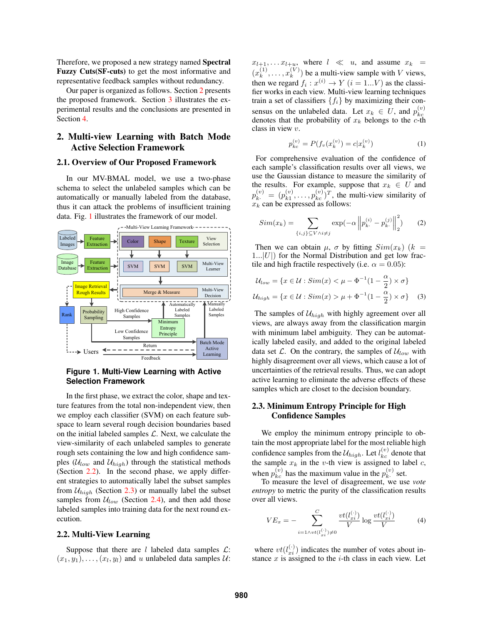Therefore, we proposed a new strategy named **Spectral Fuzzy Cuts(SF-cuts)** to get the most informative and representative feedback samples without redundancy.

Our paper is organized as follows. Section 2 presents the proposed framework. Section 3 illustrates the experimental results and the conclusions are presented in Section 4.

### **2. Multi-view Learning with Batch Mode Active Selection Framework**

#### **2.1. Overview of Our Proposed Framework**

In our MV-BMAL model, we use a two-phase schema to select the unlabeled samples which can be automatically or manually labeled from the database, thus it can attack the problems of insufficient training data. Fig. 1 illustrates the framework of our model.



#### **Figure 1. Multi-View Learning with Active Selection Framework**

In the first phase, we extract the color, shape and texture features from the total non-independent view, then we employ each classifier (SVM) on each feature subspace to learn several rough decision boundaries based on the initial labeled samples  $\mathcal{L}$ . Next, we calculate the view-similarity of each unlabeled samples to generate rough sets containing the low and high confidence samples ( $U_{low}$  and  $U_{high}$ ) through the statistical methods (Section 2.2). In the second phase, we apply different strategies to automatically label the subset samples from  $U_{high}$  (Section 2.3) or manually label the subset samples from  $U_{low}$  (Section 2.4), and then add those labeled samples into training data for the next round execution.

#### **2.2. Multi-View Learning**

Suppose that there are l labeled data samples  $\mathcal{L}$ :  $(x_1, y_1), \ldots, (x_l, y_l)$  and u unlabeled data samples  $\mathcal{U}$ :

 $x_{l+1}, \ldots x_{l+u}$ , where  $l \ll u$ , and assume  $x_k =$  $(x_k^{(1)}$  $x_k^{(1)}, \ldots, x_k^{(V)}$  $\binom{V}{k}$  be a multi-view sample with V views, then we regard  $f_i : x^{(i)} \to Y$   $(i = 1...V)$  as the classifier works in each view. Multi-view learning techniques train a set of classifiers  $\{f_i\}$  by maximizing their consensus on the unlabeled data. Let  $x_k \in U$ , and  $p_{kc}^{(v)}$ kc denotes that the probability of  $x_k$  belongs to the c-th class in view v.

$$
p_{kc}^{(v)} = P(f_v(x_k^{(v)}) = c|x_k^{(v)})
$$
\n(1)

For comprehensive evaluation of the confidence of each sample's classification results over all views, we use the Gaussian distance to measure the similarity of the results. For example, suppose that  $x_k \in U$  and  $p_{k}^{(v)} = p_{k1}^{(v)}$  $\binom{v}{k_1}, \ldots, \binom{v}{k_c}^T$ , the multi-view similarity of  $x_k$  can be expressed as follows:

$$
Sim(x_k) = \sum_{\{i,j\} \subseteq V \land i \neq j} \exp(-\alpha \left\| p_{k}^{(i)} - p_{k}^{(j)} \right\|_2^2)
$$
 (2)

Then we can obtain  $\mu$ ,  $\sigma$  by fitting  $Sim(x_k)$  (k =  $1...|U|$ ) for the Normal Distribution and get low fractile and high fractile respectively (i.e.  $\alpha = 0.05$ ):

$$
\mathcal{U}_{low} = \{x \in \mathcal{U} : Sim(x) < \mu - \Phi^{-1}(1 - \frac{\alpha}{2}) \times \sigma\}
$$
\n
$$
\mathcal{U}_{high} = \{x \in \mathcal{U} : Sim(x) > \mu + \Phi^{-1}(1 - \frac{\alpha}{2}) \times \sigma\} \tag{3}
$$

The samples of  $U_{high}$  with highly agreement over all views, are always away from the classification margin with minimum label ambiguity. They can be automatically labeled easily, and added to the original labeled data set  $\mathcal{L}$ . On the contrary, the samples of  $\mathcal{U}_{low}$  with highly disagreement over all views, which cause a lot of uncertainties of the retrieval results. Thus, we can adopt active learning to eliminate the adverse effects of these samples which are closet to the decision boundary.

#### **2.3. Minimum Entropy Principle for High Confidence Samples**

We employ the minimum entropy principle to obtain the most appropriate label for the most reliable high confidence samples from the  $\mathcal{U}_{high}$ . Let  $l_{kc}^{(v)}$  denote that the sample  $x_k$  in the v-th view is assigned to label c, when  $p_{kc}^{(v)}$  has the maximum value in the  $p_k^{(v)}$ .  $k<sup>(v)</sup>$  set.

To measure the level of disagreement, we use *vote entropy* to metric the purity of the classification results over all views.

$$
VE_x = -\sum_{i=1 \wedge vt(l_{xi}^{(\cdot)}) \neq 0}^{C} \frac{vt(l_{xi}^{(\cdot)})}{V} \log \frac{vt(l_{xi}^{(\cdot)})}{V}
$$
(4)

where  $vt(l_{xi}^{(\cdot)})$  indicates the number of votes about instance  $x$  is assigned to the  $i$ -th class in each view. Let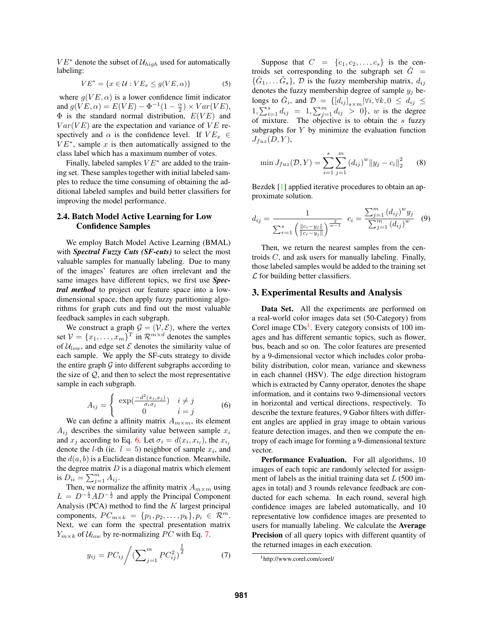$VE^*$  denote the subset of  $U_{high}$  used for automatically labeling:

$$
VE^* = \{x \in \mathcal{U} : VE_x \le g(VE, \alpha)\}\tag{5}
$$

where  $q(VE, \alpha)$  is a lower confidence limit indicator and  $g(VE, \alpha) = E(VE) - \Phi^{-1}(1 - \frac{\alpha}{2}) \times Var(VE)$ ,  $\Phi$  is the standard normal distribution,  $E(VE)$  and  $Var(VE)$  are the expectation and variance of  $VE$  respectively and  $\alpha$  is the confidence level. If  $VE_x \in$  $VE<sup>*</sup>$ , sample x is then automatically assigned to the class label which has a maximum number of votes.

Finally, labeled samples  $VE^*$  are added to the training set. These samples together with initial labeled samples to reduce the time consuming of obtaining the additional labeled samples and build better classifiers for improving the model performance.

#### **2.4. Batch Model Active Learning for Low Confidence Samples**

We employ Batch Model Active Learning (BMAL) with *Spectral Fuzzy Cuts (SF-cuts)* to select the most valuable samples for manually labeling. Due to many of the images' features are often irrelevant and the same images have different topics, we first use *Spectral method* to project our feature space into a lowdimensional space, then apply fuzzy partitioning algorithms for graph cuts and find out the most valuable feedback samples in each subgraph.

We construct a graph  $\mathcal{G} = (\mathcal{V}, \mathcal{E})$ , where the vertex set  $V = \{x_1, \ldots, x_m\}^T$  in  $\mathcal{R}^{m \times d}$  denotes the samples of  $U_{low}$ , and edge set  $\mathcal E$  denotes the similarity value of each sample. We apply the SF-cuts strategy to divide the entire graph  $G$  into different subgraphs according to the size of  $Q$ , and then to select the most representative sample in each subgraph.

$$
A_{ij} = \begin{cases} \exp(\frac{-d^2(x_i, x_j)}{\sigma_i \sigma_j}) & i \neq j \\ 0 & i = j \end{cases}
$$
 (6)

We can define a affinity matrix  $A_{m \times m}$ , its element  $A_{ij}$  describes the similarity value between sample  $x_i$ and  $x_j$  according to Eq. 6. Let  $\sigma_i = d(x_i, x_{i_l})$ , the  $x_{i_j}$ denote the *l*-th (ie.  $l = 5$ ) neighbor of sample  $x_i$ , and the  $d(a, b)$  is a Euclidean distance function. Meanwhile, the degree matrix  $D$  is a diagonal matrix which element is  $D_{ii} = \sum_{j=1}^{m} A_{ij}$ .

Then, we normalize the affinity matrix  $A_{m \times m}$  using  $L = D^{-\frac{1}{2}}AD^{-\frac{1}{2}}$  and apply the Principal Component Analysis (PCA) method to find the  $K$  largest principal components,  $PC_{m \times k} = \{p_1, p_2, \ldots, p_k\}, p_i \in \mathcal{R}^m$ . Next, we can form the spectral presentation matrix  $Y_{m \times k}$  of  $\mathcal{U}_{low}$  by re-normalizing PC with Eq. 7.

$$
y_{ij} = PC_{ij} / \left(\sum_{j=1}^{m} PC_{ij}^2\right)^{\frac{1}{2}}
$$
 (7)

Suppose that  $C = \{c_1, c_2, \ldots, c_s\}$  is the centroids set corresponding to the subgraph set  $\tilde{G}$  =  $\{\tilde{G}_1, \ldots \tilde{G}_s\}$ ,  $\mathcal{D}$  is the fuzzy membership matrix,  $d_{ij}$ denotes the fuzzy membership degree of sample  $y_j$  belongs to  $\tilde{G}_i$ , and  $\mathcal{D}$  =  $\left\{\left[d_{ij}\right]_{s\times m}|\forall i, \forall k, 0\leq d_{ij}\right\leq$  $1, \sum_{i=1}^{s} d_{ij} = 1, \sum_{j=1}^{m} d_{ij} > 0$ , w is the degree of mixture. The objective is to obtain the s fuzzy subgraphs for  $Y$  by minimize the evaluation function  $J_{fuz}(D, Y),$ 

$$
\min J_{fuz}(\mathcal{D}, Y) = \sum_{i=1}^{s} \sum_{j=1}^{m} (d_{ij})^{w} ||y_j - c_i||_2^2 \qquad (8)
$$

Bezdek [1] applied iterative procedures to obtain an approximate solution.

$$
d_{ij} = \frac{1}{\sum_{r=1}^{s} \left( \frac{||c_i - y_j||}{||c_r - y_j||} \right)^{\frac{2}{w-1}}} \ c_i = \frac{\sum_{j=1}^{m} (d_{ij})^w y_j}{\sum_{j=1}^{m} (d_{ij})^w} \tag{9}
$$

Then, we return the nearest samples from the centroids C, and ask users for manually labeling. Finally, those labeled samples would be added to the training set  $\mathcal L$  for building better classifiers.

#### **3. Experimental Results and Analysis**

**Data Set.** All the experiments are performed on a real-world color images data set (50-Category) from Corel image CDs<sup>1</sup>. Every category consists of 100 images and has different semantic topics, such as flower, bus, beach and so on. The color features are presented by a 9-dimensional vector which includes color probability distribution, color mean, variance and skewness in each channel (HSV). The edge direction histogram which is extracted by Canny operator, denotes the shape information, and it contains two 9-dimensional vectors in horizontal and vertical directions, respectively. To describe the texture features, 9 Gabor filters with different angles are applied in gray image to obtain various feature detection images, and then we compute the entropy of each image for forming a 9-dimensional texture vector.

**Performance Evaluation.** For all algorithms, 10 images of each topic are randomly selected for assignment of labels as the initial training data set  $L(500)$  images in total) and 3 rounds relevance feedback are conducted for each schema. In each round, several high confidence images are labeled automatically, and 10 representative low confidence images are presented to users for manually labeling. We calculate the **Average Precision** of all query topics with different quantity of the returned images in each execution.

<sup>1</sup>http://www.corel.com/corel/